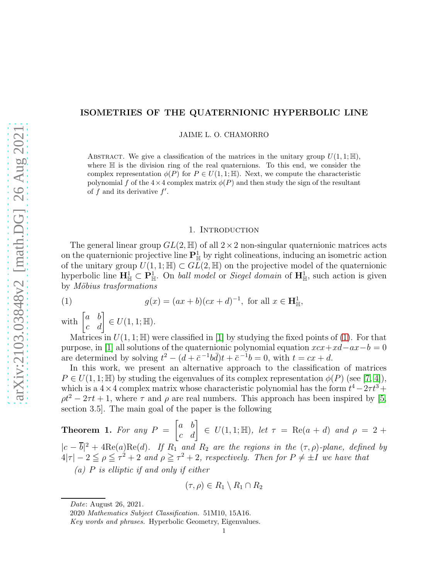## ISOMETRIES OF THE QUATERNIONIC HYPERBOLIC LINE

JAIME L. O. CHAMORRO

ABSTRACT. We give a classification of the matrices in the unitary group  $U(1,1;\mathbb{H})$ , where  $H$  is the division ring of the real quaternions. To this end, we consider the complex representation  $\phi(P)$  for  $P \in U(1,1;\mathbb{H})$ . Next, we compute the characteristic polynomial f of the  $4\times4$  complex matrix  $\phi(P)$  and then study the sign of the resultant of  $\overrightarrow{f}$  and its derivative  $f'$ .

#### <span id="page-0-0"></span>1. INTRODUCTION

The general linear group  $GL(2, \mathbb{H})$  of all  $2 \times 2$  non-singular quaternionic matrices acts on the quaternionic projective line  $\mathbf{P}^1_{\mathbb{H}}$  by right colineations, inducing an isometric action of the unitary group  $U(1, 1; \mathbb{H}) \subset GL(2, \mathbb{H})$  on the projective model of the quaternionic hyperbolic line  $\mathbf{H}^1_{\mathbb{H}} \subset \mathbf{P}^1_{\mathbb{H}}$ . On *ball model* or *Siegel domain* of  $\mathbf{H}^1_{\mathbb{H}}$ , such action is given by *M¨obius trasformations*

(1) 
$$
g(x) = (ax + b)(cx + d)^{-1}, \text{ for all } x \in \mathbf{H}^1_{\mathbb{H}},
$$

with  $\begin{bmatrix} a & b \\ c & d \end{bmatrix} \in U(1,1;\mathbb{H}).$ 

Matrices in  $U(1, 1; \mathbb{H})$  were classified in [\[1\]](#page-9-0) by studying the fixed points of [\(1\)](#page-0-0). For that purpose, in [\[1\]](#page-9-0) all solutions of the quaternionic polynomial equation  $xxx+xd-ax-b=0$ are determined by solving  $t^2 - (d + \bar{c}^{-1}b\bar{d})t + \bar{c}^{-1}b = 0$ , with  $t = cx + d$ .

In this work, we present an alternative approach to the classification of matrices  $P \in U(1, 1; \mathbb{H})$  by studing the eigenvalues of its complex representation  $\phi(P)$  (see [\[7,](#page-9-1) [4\]](#page-9-2)), which is a  $4 \times 4$  complex matrix whose characteristic polynomial has the form  $t^4 - 2\tau t^3 +$  $\rho t^2 - 2\tau t + 1$ , where  $\tau$  and  $\rho$  are real numbers. This approach has been inspired by [\[5,](#page-9-3) section 3.5]. The main goal of the paper is the following

<span id="page-0-1"></span>**Theorem 1.** For any  $P = \begin{bmatrix} a & b \\ c & d \end{bmatrix} \in U(1,1;\mathbb{H})$ , let  $\tau = \text{Re}(a + d)$  and  $\rho = 2 +$  $|c - \overline{b}|^2 + 4\text{Re}(a)\text{Re}(d)$ . If  $R_1$  and  $R_2$  are the regions in the  $(\tau, \rho)$ -plane, defined by  $4|\tau| - 2 \leq \rho \leq \tau^2 + 2$  and  $\rho \geq \tau^2 + 2$ , respectively. Then for  $P \neq \pm I$  we have that

*(a)* P *is elliptic if and only if either*

$$
(\tau,\rho)\in R_1\setminus R_1\cap R_2
$$

Date: August 26, 2021.

<sup>2020</sup> Mathematics Subject Classification. 51M10, 15A16.

Key words and phrases. Hyperbolic Geometry, Eigenvalues.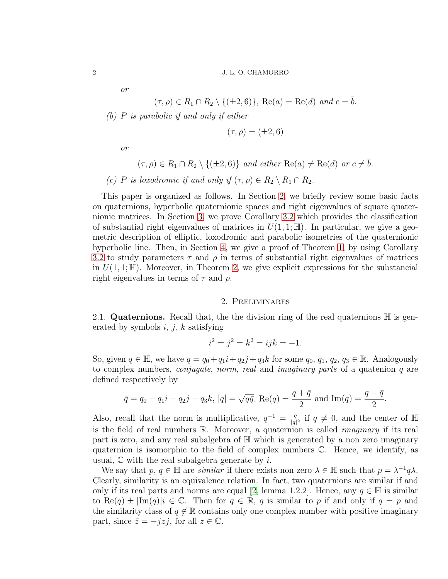*or*

$$
(\tau,\rho)\in R_1\cap R_2\setminus\{(\pm 2,6)\},\ \mathrm{Re}(a)=\mathrm{Re}(d)\ \text{and}\ c=\overline{b}.
$$

*(b)* P *is parabolic if and only if either*

$$
(\tau,\rho)=(\pm 2,6)
$$

*or*

- $(\tau, \rho) \in R_1 \cap R_2 \setminus \{(\pm 2, 6)\}\$ and either  $\text{Re}(a) \neq \text{Re}(d)$  or  $c \neq \overline{b}$ .
- *(c) P is loxodromic if and only if*  $(\tau, \rho) \in R_2 \setminus R_1 \cap R_2$ *.*

This paper is organized as follows. In Section [2,](#page-1-0) we briefly review some basic facts on quaternions, hyperbolic quaternionic spaces and right eigenvalues of square quaternionic matrices. In Section [3,](#page-4-0) we prove Corollary [3.2](#page-4-1) which provides the classification of substantial right eigenvalues of matrices in  $U(1, 1; \mathbb{H})$ . In particular, we give a geometric description of elliptic, loxodromic and parabolic isometries of the quaternionic hyperbolic line. Then, in Section [4,](#page-7-0) we give a proof of Theorem [1,](#page-0-1) by using Corollary [3.2](#page-4-1) to study parameters  $\tau$  and  $\rho$  in terms of substantial right eigenvalues of matrices in  $U(1,1;\mathbb{H})$ . Moreover, in Theorem [2,](#page-9-4) we give explicit expressions for the substancial right eigenvalues in terms of  $\tau$  and  $\rho$ .

# 2. Preliminares

<span id="page-1-0"></span>2.1. Quaternions. Recall that, the the division ring of the real quaternions  $\mathbb H$  is generated by symbols  $i, j, k$  satisfying

$$
i^2 = j^2 = k^2 = ijk = -1.
$$

So, given  $q \in \mathbb{H}$ , we have  $q = q_0 + q_1 i + q_2 j + q_3 k$  for some  $q_0, q_1, q_2, q_3 \in \mathbb{R}$ . Analogously to complex numbers, *conjugate*, *norm*, *real* and *imaginary parts* of a quatenion q are defined respectively by

$$
\bar{q} = q_0 - q_1 i - q_2 j - q_3 k
$$
,  $|q| = \sqrt{q\bar{q}}$ ,  $Re(q) = \frac{q + \bar{q}}{2}$  and  $Im(q) = \frac{q - \bar{q}}{2}$ .

Also, recall that the norm is multiplicative,  $q^{-1} = \frac{\bar{q}}{|q|}$  $\frac{\bar{q}}{|q|^2}$  if  $q \neq 0$ , and the center of  $\mathbb{H}$ is the field of real numbers R. Moreover, a quaternion is called *imaginary* if its real part is zero, and any real subalgebra of H which is generated by a non zero imaginary quaternion is isomorphic to the field of complex numbers C. Hence, we identify, as usual,  $\mathbb C$  with the real subalgebra generate by i.

We say that  $p, q \in \mathbb{H}$  are *similar* if there exists non zero  $\lambda \in \mathbb{H}$  such that  $p = \lambda^{-1} q \lambda$ . Clearly, similarity is an equivalence relation. In fact, two quaternions are similar if and only if its real parts and norms are equal [\[2,](#page-9-5) lemma 1.2.2]. Hence, any  $q \in \mathbb{H}$  is similar to Re $(q) \pm \text{Im}(q)$   $i \in \mathbb{C}$ . Then for  $q \in \mathbb{R}$ , q is similar to p if and only if  $q = p$  and the similarity class of  $q \notin \mathbb{R}$  contains only one complex number with positive imaginary part, since  $\bar{z} = -jzj$ , for all  $z \in \mathbb{C}$ .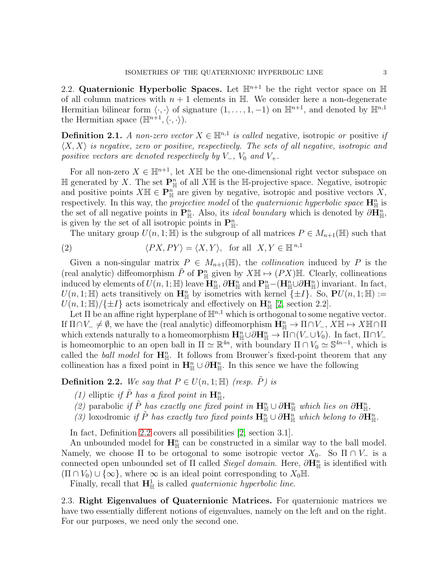<span id="page-2-1"></span>2.2. Quaternionic Hyperbolic Spaces. Let  $\mathbb{H}^{n+1}$  be the right vector space on  $\mathbb H$ of all column matrices with  $n + 1$  elements in  $\mathbb{H}$ . We consider here a non-degenerate Hermitian bilinear form  $\langle \cdot, \cdot \rangle$  of signature  $(1, \ldots, 1, -1)$  on  $\mathbb{H}^{n+1}$ , and denoted by  $\mathbb{H}^{n,1}$ the Hermitian space  $(\mathbb{H}^{n+1}, \langle \cdot, \cdot \rangle)$ .

**Definition 2.1.** *A non-zero vector*  $X \in \mathbb{H}^{n,1}$  *is called* negative, isotropic *or* positive *if*  $\langle X, X \rangle$  *is negative, zero or positive, respectively. The sets of all negative, isotropic and positive vectors are denoted respectively by*  $V_-, V_0$  *and*  $V_+.$ 

For all non-zero  $X \in \mathbb{H}^{n+1}$ , let X $\mathbb{H}$  be the one-dimensional right vector subspace on  $\mathbb H$  generated by X. The set  $\mathbf P^n_{\mathbb H}$  of all  $X\mathbb H$  is the  $\mathbb H$ -projective space. Negative, isotropic and positive points  $X \mathbb{H} \in \mathbf{P}_{\mathbb{H}}^n$  are given by negative, isotropic and positive vectors X, respectively. In this way, the *projective model* of the *quaternionic hyperbolic space*  $\mathbf{H}_{\mathbb{H}}^n$  is the set of all negative points in  $\mathbf{P}_{\mathbb{H}}^n$ . Also, its *ideal boundary* which is denoted by  $\partial \mathbf{H}_{\mathbb{H}}^n$ , is given by the set of all isotropic points in  $\mathbf{P}_{\mathbb{H}}^n$ .

<span id="page-2-2"></span>The unitary group  $U(n, 1; \mathbb{H})$  is the subgroup of all matrices  $P \in M_{n+1}(\mathbb{H})$  such that

(2) 
$$
\langle PX, PY \rangle = \langle X, Y \rangle
$$
, for all  $X, Y \in \mathbb{H}^{n,1}$ 

Given a non-singular matrix  $P \in M_{n+1}(\mathbb{H})$ , the *collineation* induced by P is the (real analytic) diffeomorphism  $\tilde{P}$  of  $\mathbf{P}_{\mathbb{H}}^n$  given by  $X \mathbb{H} \mapsto (PX) \mathbb{H}$ . Clearly, collineations induced by elements of  $U(n, 1; \mathbb{H})$  leave  $\mathbf{H}_{\mathbb{H}}^n$ ,  $\partial \mathbf{H}_{\mathbb{H}}^n$  and  $\mathbf{P}_{\mathbb{H}}^n - (\mathbf{H}_{\mathbb{H}}^n \cup \partial \mathbf{H}_{\mathbb{H}}^n)$  invariant. In fact,  $U(n, 1; \mathbb{H})$  acts transitively on  $\mathbf{H}_{\mathbb{H}}^n$  by isometries with kernel  $\{\pm I\}$ . So,  $\mathbf{P}U(n, 1; \mathbb{H}) :=$  $U(n, 1; \mathbb{H})/\{\pm I\}$  acts isometricaly and effectively on  $\mathbf{H}_{\mathbb{H}}^n$  [\[2,](#page-9-5) section 2.2].

Let  $\Pi$  be an affine right hyperplane of  $\mathbb{H}^{n,1}$  which is orthogonal to some negative vector. If  $\Pi \cap V_- \neq \emptyset$ , we have the (real analytic) diffeomorphism  $\mathbf{H}_{\mathbb{H}}^n \to \Pi \cap V_-, X \mathbb{H} \mapsto X \mathbb{H} \cap \Pi$ which extends naturally to a homeomorphism  $\mathbf{H}_{\mathbb{H}}^n \cup \partial \mathbf{H}_{\mathbb{H}}^n \to \Pi \cap (V_- \cup V_0)$ . In fact,  $\Pi \cap V_$ is homeomorphic to an open ball in  $\Pi \simeq \mathbb{R}^{4n}$ , with boundary  $\Pi \cap V_0 \simeq \mathbb{S}^{4n-1}$ , which is called the *ball model* for  $H_{\mathbb{H}}^n$ . It follows from Brouwer's fixed-point theorem that any collineation has a fixed point in  $\mathbf{H}_{\mathbb{H}}^n \cup \partial \mathbf{H}_{\mathbb{H}}^n$ . In this sence we have the following

<span id="page-2-0"></span>**Definition 2.2.** We say that  $P \in U(n, 1; \mathbb{H})$  *(resp.*  $\tilde{P}$ *)* is

- *(1)* elliptic *if*  $\tilde{P}$  *has a fixed point in*  $\mathbf{H}_{\mathbb{H}}^n$ ,
- *(2)* parabolic *if*  $\tilde{P}$  *has exactly one fixed point in*  $\mathbf{H}_{\mathbb{H}}^n \cup \partial \mathbf{H}_{\mathbb{H}}^n$  *which lies on*  $\partial \mathbf{H}_{\mathbb{H}}^n$ ,
- *(3)* loxodromic *if*  $\tilde{P}$  *has exactly two fixed points*  $\mathbf{H}_{\mathbb{H}}^n \cup \partial \mathbf{H}_{\mathbb{H}}^n$  *which belong to*  $\partial \mathbf{H}_{\mathbb{H}}^n$ .

In fact, Definition [2.2](#page-2-0) covers all possibilities [\[2,](#page-9-5) section 3.1].

An unbounded model for  $\mathbf{H}_{\mathbb{H}}^n$  can be constructed in a similar way to the ball model. Namely, we choose  $\Pi$  to be ortogonal to some isotropic vector  $X_0$ . So  $\Pi \cap V_-\$  is a connected open unbounded set of  $\Pi$  called *Siegel domain*. Here,  $\partial \mathbf{H}_{\mathbb{H}}^n$  is identified with  $(\Pi \cap V_0) \cup \{\infty\}$ , where  $\infty$  is an ideal point corresponding to  $X_0$ H.

Finally, recall that  $\mathbf{H}^1_{\mathbb{H}}$  is called *quaternionic hyperbolic line*.

2.3. Right Eigenvalues of Quaternionic Matrices. For quaternionic matrices we have two essentially different notions of eigenvalues, namely on the left and on the right. For our purposes, we need only the second one.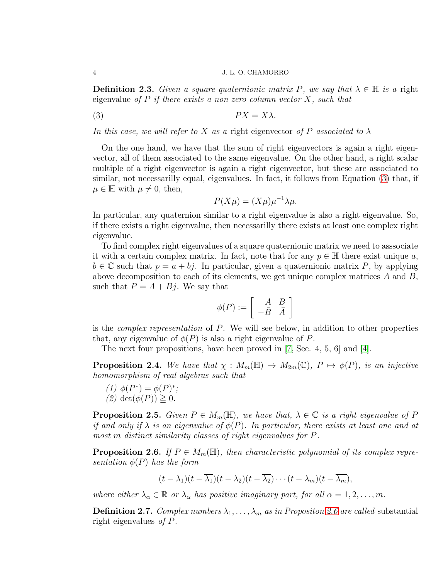**Definition 2.3.** *Given a square quaternionic matrix* P, we say that  $\lambda \in \mathbb{H}$  is a right eigenvalue *of* P *if there exists a non zero column vector* X*, such that*

$$
(3) \t\t\t P X = X \lambda.
$$

*In this case, we will refer to* X *as a* right eigenvector *of* P *associated to* λ

On the one hand, we have that the sum of right eigenvectors is again a right eigenvector, all of them associated to the same eigenvalue. On the other hand, a right scalar multiple of a right eigenvector is again a right eigenvector, but these are associated to similar, not necessarilly equal, eigenvalues. In fact, it follows from Equation [\(3\)](#page-3-0) that, if  $\mu \in \mathbb{H}$  with  $\mu \neq 0$ , then,

<span id="page-3-0"></span>
$$
P(X\mu) = (X\mu)\mu^{-1}\lambda\mu.
$$

In particular, any quaternion similar to a right eigenvalue is also a right eigenvalue. So, if there exists a right eigenvalue, then necessarilly there exists at least one complex right eigenvalue.

To find complex right eigenvalues of a square quaternionic matrix we need to asssociate it with a certain complex matrix. In fact, note that for any  $p \in \mathbb{H}$  there exist unique a,  $b \in \mathbb{C}$  such that  $p = a + bj$ . In particular, given a quaternionic matrix P, by applying above decomposition to each of its elements, we get unique complex matrices  $A$  and  $B$ , such that  $P = A + Bj$ . We say that

$$
\phi(P) := \left[ \begin{array}{cc} A & B \\ -\bar{B} & \bar{A} \end{array} \right]
$$

is the *complex representation* of P. We will see below, in addition to other properties that, any eigenvalue of  $\phi(P)$  is also a right eigenvalue of P.

The next four propositions, have been proved in [\[7,](#page-9-1) Sec. 4, 5, 6] and [\[4\]](#page-9-2).

<span id="page-3-2"></span>**Proposition 2.4.** We have that  $\chi : M_m(\mathbb{H}) \to M_{2m}(\mathbb{C}), P \mapsto \phi(P)$ *, is an injective homomorphism of real algebras such that*

(1)  $\phi(P^*) = \phi(P)^*$ ;  $(2)$  det $(\phi(P)) \geq 0$ .

**Proposition 2.5.** *Given*  $P \in M_m(\mathbb{H})$ *, we have that,*  $\lambda \in \mathbb{C}$  *is a right eigenvalue of* P *if and only if*  $\lambda$  *is an eigenvalue of*  $\phi(P)$ *. In particular, there exists at least one and at most* m *distinct similarity classes of right eigenvalues for* P*.*

<span id="page-3-1"></span>**Proposition 2.6.** If  $P \in M_m(\mathbb{H})$ , then characteristic polynomial of its complex repre*sentation*  $\phi(P)$  *has the form* 

$$
(t - \lambda_1)(t - \overline{\lambda_1})(t - \lambda_2)(t - \overline{\lambda_2}) \cdots (t - \lambda_m)(t - \overline{\lambda_m}),
$$

*where either*  $\lambda_{\alpha} \in \mathbb{R}$  *or*  $\lambda_{\alpha}$  *has positive imaginary part, for all*  $\alpha = 1, 2, ..., m$ *.* 

**Definition 2.7.** *Complex numbers*  $\lambda_1, \ldots, \lambda_m$  *as in Propositon [2.6](#page-3-1) are called* substantial right eigenvalues *of* P*.*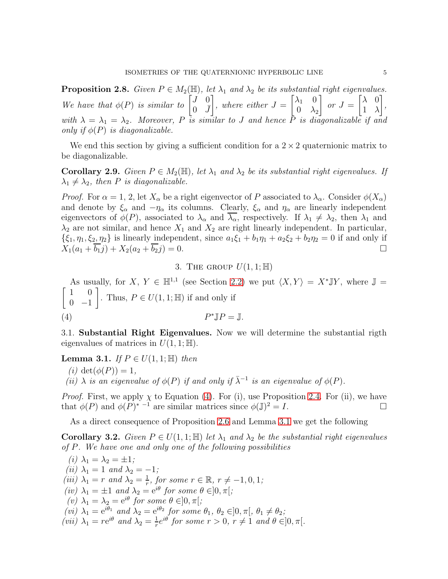<span id="page-4-4"></span>**Proposition 2.8.** *Given*  $P \in M_2(\mathbb{H})$ *, let*  $\lambda_1$  *and*  $\lambda_2$  *be its substantial right eigenvalues. We have that*  $\phi(P)$  *is similar to*  $\begin{bmatrix} J & 0 \\ 0 & \overline{J} \end{bmatrix}$  $0 \quad \bar{J}$ 1 *, where either* J =  $\begin{bmatrix} \lambda_1 & 0 \end{bmatrix}$  $0 \lambda_2$ 1  $or J =$  $\begin{bmatrix} \lambda & 0 \end{bmatrix}$ 1 λ 1 *, with*  $\lambda = \lambda_1 = \lambda_2$ . Moreover, P is similar to J and hence P is diagonalizable if and *only if*  $\phi(P)$  *is diagonalizable.* 

We end this section by giving a sufficient condition for a  $2 \times 2$  quaternionic matrix to be diagonalizable.

<span id="page-4-5"></span>**Corollary 2.9.** *Given*  $P \in M_2(\mathbb{H})$ *, let*  $\lambda_1$  *and*  $\lambda_2$  *be its substantial right eigenvalues. If*  $\lambda_1 \neq \lambda_2$ , then P is diagonalizable.

*Proof.* For  $\alpha = 1, 2$ , let  $X_{\alpha}$  be a right eigenvector of P associated to  $\lambda_{\alpha}$ . Consider  $\phi(X_{\alpha})$ and denote by  $\xi_{\alpha}$  and  $-\eta_{\alpha}$  its columns. Clearly,  $\xi_{\alpha}$  and  $\eta_{\alpha}$  are linearly independent eigenvectors of  $\phi(P)$ , associated to  $\lambda_{\alpha}$  and  $\lambda_{\alpha}$ , respectively. If  $\lambda_1 \neq \lambda_2$ , then  $\lambda_1$  and  $\lambda_2$  are not similar, and hence  $X_1$  and  $X_2$  are right linearly independent. In particular,  $\{\xi_1, \eta_1, \xi_2, \eta_2\}$  is linearly independent, since  $a_1\xi_1 + b_1\eta_1 + a_2\xi_2 + b_2\eta_2 = 0$  if and only if  $X_1(a_1 + b_1\eta) + X_2(a_2 + b_2\eta) = 0$ .  $X_1(a_1 + \overline{b_1}j) + X_2(a_2 + \overline{b_2}j) = 0.$ 

<span id="page-4-2"></span>3. THE GROUP  $U(1, 1; \mathbb{H})$ 

<span id="page-4-0"></span>As usually, for  $X, Y \in \mathbb{H}^{1,1}$  (see Section [2.2\)](#page-2-1) we put  $\langle X, Y \rangle = X^* \mathbb{J} Y$ , where  $\mathbb{J} =$  $\begin{bmatrix} 1 & 0 \end{bmatrix}$  $0 -1$ . Thus,  $P \in U(1, 1; \mathbb{H})$  if and only if  $(4)$   $F$  $\mathbb{I}P=\mathbb{J}.$ 

3.1. Substantial Right Eigenvalues. Now we will determine the substantial rigth eigenvalues of matrices in  $U(1, 1; \mathbb{H})$ .

<span id="page-4-3"></span>**Lemma 3.1.** *If*  $P \in U(1, 1; \mathbb{H})$  *then* 

- *(i)*  $\det(\phi(P)) = 1$ ,
- $(iii)$   $\lambda$  *is an eigenvalue of*  $\phi(P)$  *if and only if*  $\bar{\lambda}^{-1}$  *is an eigenvalue of*  $\phi(P)$ *.*

*Proof.* First, we apply  $\chi$  to Equation [\(4\)](#page-4-2). For (i), use Proposition [2.4.](#page-3-2) For (ii), we have that  $\phi(P)$  and  $\phi(P)^{*-1}$  are similar matrices since  $\phi(\mathbb{J})^2 = I$ .

As a direct consequence of Proposition [2.6](#page-3-1) and Lemma [3.1](#page-4-3) we get the following

<span id="page-4-1"></span>**Corollary 3.2.** *Given*  $P \in U(1,1;\mathbb{H})$  *let*  $\lambda_1$  *and*  $\lambda_2$  *be the substantial right eigenvalues of* P*. We have one and only one of the following possibilities*

*(i)*  $\lambda_1 = \lambda_2 = \pm 1$ ; *(ii)*  $\lambda_1 = 1$  *and*  $\lambda_2 = -1$ *; (iii)*  $\lambda_1 = r$  *and*  $\lambda_2 = \frac{1}{r}$  $\frac{1}{r}$ , for some  $r \in \mathbb{R}$ ,  $r \neq -1, 0, 1;$ *(iv)*  $\lambda_1 = \pm 1$  *and*  $\lambda_2 = e^{i\theta}$  *for some*  $\theta \in ]0, \pi[$ *;*  $(v)$   $\lambda_1 = \lambda_2 = e^{i\theta}$  *for some*  $\theta \in ]0, \pi[$ ;  $(vi)$   $\lambda_1 = e^{i\theta_1}$  *and*  $\lambda_2 = e^{i\theta_2}$  *for some*  $\theta_1$ *,*  $\theta_2 \in ]0, \pi[, \theta_1 \neq \theta_2;$ (*vii*)  $\lambda_1 = re^{i\theta}$  *and*  $\lambda_2 = \frac{1}{r}$  $\frac{1}{r}e^{i\theta}$  *for some*  $r > 0$ ,  $r \neq 1$  *and*  $\theta \in ]0, \pi[$ *.*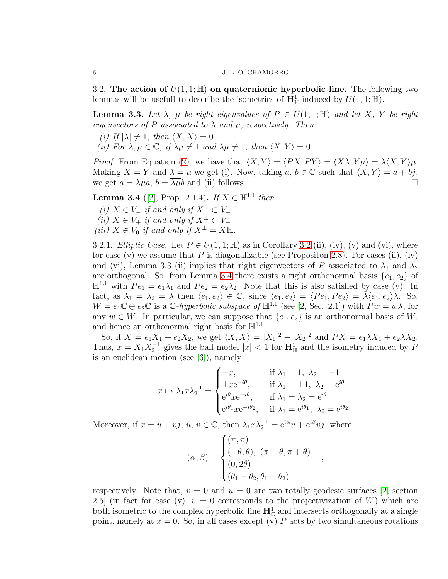3.2. The action of  $U(1, 1; \mathbb{H})$  on quaternionic hyperbolic line. The following two lemmas will be usefull to describe the isometries of  $\mathbf{H}^1_{\mathbb{H}}$  induced by  $U(1,1;\mathbb{H})$ .

<span id="page-5-0"></span>**Lemma 3.3.** Let  $\lambda$ ,  $\mu$  be right eigenvalues of  $P \in U(1,1;\mathbb{H})$  and let X, Y be right *eigenvectors of* P *associated to*  $\lambda$  *and*  $\mu$ *, respectively. Then* 

*(i)* If  $|\lambda| \neq 1$ , then  $\langle X, X \rangle = 0$ .

*(ii)* For  $\lambda, \mu \in \mathbb{C}$ , if  $\lambda \mu \neq 1$  and  $\lambda \mu \neq 1$ , then  $\langle X, Y \rangle = 0$ .

*Proof.* From Equation [\(2\)](#page-2-2), we have that  $\langle X, Y \rangle = \langle PX, PY \rangle = \langle X \lambda, Y \mu \rangle = \overline{\lambda} \langle X, Y \rangle \mu$ . Making  $X = Y$  and  $\lambda = \mu$  we get (i). Now, taking  $a, b \in \mathbb{C}$  such that  $\langle X, Y \rangle = a + bj$ , we get  $a = \overline{\lambda} \mu a, b = \overline{\lambda} \mu b$  and (ii) follows. we get  $a = \lambda \mu a$ ,  $b = \lambda \mu b$  and (ii) follows.

<span id="page-5-1"></span>**Lemma 3.4** ([\[2\]](#page-9-5), Prop. 2.1.4). *If*  $X \in \mathbb{H}^{1,1}$  *then* 

*(i)*  $X \in V_-\$  *if and only if*  $X^{\perp} \subset V_+$ *. (ii)*  $X \in V_+$  *if and only if*  $X^{\perp} \subset V_-$ *. (iii)*  $X \in V_0$  *if and only if*  $X^{\perp} = X \mathbb{H}$ .

<span id="page-5-2"></span>3.2.1. *Elliptic Case.* Let  $P \in U(1, 1; \mathbb{H})$  as in Corollary [3.2](#page-4-1) (ii), (iv), (v) and (vi), where for case (v) we assume that P is diagonalizable (see Propositon [2.8\)](#page-4-4). For cases (ii), (iv) and (vi), Lemma [3.3](#page-5-0) (ii) implies that right eigenvectors of P associated to  $\lambda_1$  and  $\lambda_2$ are orthogonal. So, from Lemma [3.4](#page-5-1) there exists a right orthonormal basis  $\{e_1, e_2\}$  of  $\mathbb{H}^{1,1}$  with  $Pe_1 = e_1 \lambda_1$  and  $Pe_2 = e_2 \lambda_2$ . Note that this is also satisfied by case (v). In fact, as  $\lambda_1 = \lambda_2 = \lambda$  then  $\langle e_1, e_2 \rangle \in \mathbb{C}$ , since  $\langle e_1, e_2 \rangle = \langle Pe_1, Pe_2 \rangle = \overline{\lambda} \langle e_1, e_2 \rangle \lambda$ . So,  $W = e_1 \mathbb{C} \oplus e_2 \mathbb{C}$  is a  $\mathbb{C}$ -hyperbolic subspace of  $\mathbb{H}^{1,1}$  (see [\[2,](#page-9-5) Sec. 2.1]) with  $P w = w \lambda$ , for any  $w \in W$ . In particular, we can suppose that  $\{e_1, e_2\}$  is an orthonormal basis of W, and hence an orthonormal right basis for  $\mathbb{H}^{1,1}$ .

So, if  $X = e_1X_1 + e_2X_2$ , we get  $\langle X, X \rangle = |X_1|^2 - |X_2|^2$  and  $PX = e_1\lambda X_1 + e_2\lambda X_2$ . Thus,  $x = X_1 X_2^{-1}$  gives the ball model  $|x| < 1$  for  $\mathbf{H}_{\mathbb{H}}^1$  and the isometry induced by P is an euclidean motion (see [\[6\]](#page-9-6)), namely

$$
x \mapsto \lambda_1 x \lambda_2^{-1} = \begin{cases} -x, & \text{if } \lambda_1 = 1, \ \lambda_2 = -1 \\ \pm x e^{-i\theta}, & \text{if } \lambda_1 = \pm 1, \ \lambda_2 = e^{i\theta} \\ e^{i\theta} x e^{-i\theta}, & \text{if } \lambda_1 = \lambda_2 = e^{i\theta} \\ e^{i\theta_1} x e^{-i\theta_2}, & \text{if } \lambda_1 = e^{i\theta_1}, \ \lambda_2 = e^{i\theta_2} \end{cases}.
$$

Moreover, if  $x = u + vj$ ,  $u, v \in \mathbb{C}$ , then  $\lambda_1 x \lambda_2^{-1} = e^{i\alpha} u + e^{i\beta} v j$ , where

$$
(\alpha, \beta) = \begin{cases} (\pi, \pi) \\ (-\theta, \theta), (\pi - \theta, \pi + \theta) \\ (0, 2\theta) \\ (\theta_1 - \theta_2, \theta_1 + \theta_2) \end{cases}
$$

,

respectively. Note that,  $v = 0$  and  $u = 0$  are two totally geodesic surfaces [\[2,](#page-9-5) section 2.5] (in fact for case (v),  $v = 0$  corresponds to the projectivization of W) which are both isometric to the complex hyperbolic line  $\mathbf{H}_{\mathbb{C}}^1$  and intersects orthogonally at a single point, namely at  $x = 0$ . So, in all cases except (v) P acts by two simultaneous rotations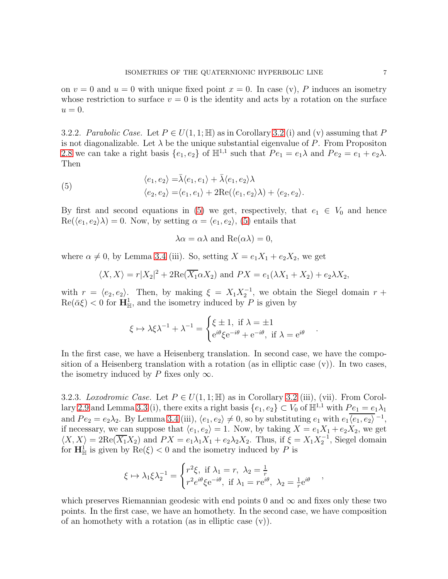on  $v = 0$  and  $u = 0$  with unique fixed point  $x = 0$ . In case (v), P induces an isometry whose restriction to surface  $v = 0$  is the identity and acts by a rotation on the surface  $u=0.$ 

<span id="page-6-1"></span>3.2.2. *Parabolic Case.* Let  $P \in U(1, 1; \mathbb{H})$  as in Corollary [3.2](#page-4-1) (i) and (v) assuming that P is not diagonalizable. Let  $\lambda$  be the unique substantial eigenvalue of P. From Propositon [2.8](#page-4-4) we can take a right basis  $\{e_1, e_2\}$  of  $\mathbb{H}^{1,1}$  such that  $Pe_1 = e_1 \lambda$  and  $Pe_2 = e_1 + e_2 \lambda$ . Then

(5) 
$$
\langle e_1, e_2 \rangle = \bar{\lambda} \langle e_1, e_1 \rangle + \bar{\lambda} \langle e_1, e_2 \rangle \lambda \langle e_2, e_2 \rangle = \langle e_1, e_1 \rangle + 2 \text{Re}(\langle e_1, e_2 \rangle \lambda) + \langle e_2, e_2 \rangle.
$$

By first and second equations in [\(5\)](#page-6-0) we get, respectively, that  $e_1 \in V_0$  and hence  $\text{Re}(\langle e_1, e_2 \rangle \lambda) = 0$ . Now, by setting  $\alpha = \langle e_1, e_2 \rangle$ , [\(5\)](#page-6-0) entails that

<span id="page-6-0"></span>
$$
\lambda \alpha = \alpha \lambda
$$
 and  $\text{Re}(\alpha \lambda) = 0$ ,

where  $\alpha \neq 0$ , by Lemma [3.4](#page-5-1) (iii). So, setting  $X = e_1X_1 + e_2X_2$ , we get

$$
\langle X, X \rangle = r |X_2|^2 + 2 \text{Re}(\overline{X_1} \alpha X_2)
$$
 and  $P X = e_1(\lambda X_1 + X_2) + e_2 \lambda X_2$ ,

with  $r = \langle e_2, e_2 \rangle$ . Then, by making  $\xi = X_1 X_2^{-1}$ , we obtain the Siegel domain  $r +$  $\text{Re}(\bar{\alpha}\xi) < 0$  for  $\mathbf{H}_{\mathbb{H}}^1$ , and the isometry induced by P is given by

$$
\xi \mapsto \lambda \xi \lambda^{-1} + \lambda^{-1} = \begin{cases} \xi \pm 1, & \text{if } \lambda = \pm 1 \\ e^{i\theta} \xi e^{-i\theta} + e^{-i\theta}, & \text{if } \lambda = e^{i\theta} \end{cases}
$$

In the first case, we have a Heisenberg translation. In second case, we have the composition of a Heisenberg translation with a rotation (as in elliptic case (v)). In two cases, the isometry induced by P fixes only  $\infty$ .

<span id="page-6-2"></span>3.2.3. *Loxodromic Case.* Let  $P \in U(1,1;\mathbb{H})$  as in Corollary [3.2](#page-4-1) (iii), (vii). From Corol-lary [2.9](#page-4-5) and Lemma [3.3](#page-5-0) (i), there exits a right basis  $\{e_1, e_2\} \subset V_0$  of  $\mathbb{H}^{1,1}$  with  $Pe_1 = e_1 \lambda_1$ and  $Pe_2 = e_2\lambda_2$ . By Lemma [3.4](#page-5-1) (iii),  $\langle e_1, e_2 \rangle \neq 0$ , so by substituting  $e_1$  with  $e_1 \overline{\langle e_1, e_2 \rangle}^{-1}$ , if necessary, we can suppose that  $\langle e_1, e_2 \rangle = 1$ . Now, by taking  $X = e_1X_1 + e_2X_2$ , we get  $\langle X, X \rangle = 2\text{Re}(\overline{X_1}X_2)$  and  $PX = e_1\lambda_1X_1 + e_2\lambda_2X_2$ . Thus, if  $\xi = X_1X_2^{-1}$ , Siegel domain for  $\mathbf{H}^1_{\mathbb{H}}$  is given by  $\text{Re}(\xi) < 0$  and the isometry induced by P is

$$
\xi \mapsto \lambda_1 \xi \lambda_2^{-1} = \begin{cases} r^2 \xi, & \text{if } \lambda_1 = r, \ \lambda_2 = \frac{1}{r} \\ r^2 e^{i\theta} \xi e^{-i\theta}, & \text{if } \lambda_1 = r e^{i\theta}, \ \lambda_2 = \frac{1}{r} e^{i\theta} \end{cases},
$$

which preserves Riemannian geodesic with end points 0 and  $\infty$  and fixes only these two points. In the first case, we have an homothety. In the second case, we have composition of an homothety with a rotation (as in elliptic case  $(v)$ ).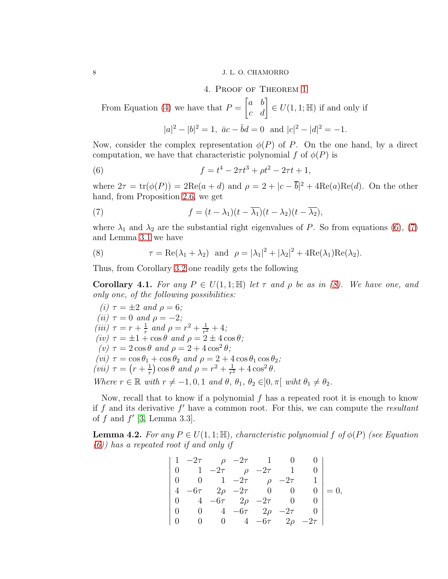#### <span id="page-7-0"></span>8 J. L. O. CHAMORRO

### 4. Proof of Theorem [1](#page-0-1)

From Equation [\(4\)](#page-4-2) we have that  $P = \begin{bmatrix} a & b \\ c & d \end{bmatrix} \in U(1, 1; \mathbb{H})$  if and only if

<span id="page-7-2"></span><span id="page-7-1"></span>
$$
|a|^2 - |b|^2 = 1
$$
,  $\bar{a}c - \bar{b}d = 0$  and  $|c|^2 - |d|^2 = -1$ .

Now, consider the complex representation  $\phi(P)$  of P. On the one hand, by a direct computation, we have that characteristic polynomial f of  $\phi(P)$  is

(6) 
$$
f = t^4 - 2\tau t^3 + \rho t^2 - 2\tau t + 1,
$$

where  $2\tau = \text{tr}(\phi(P)) = 2\text{Re}(a+d)$  and  $\rho = 2 + |c - \overline{b}|^2 + 4\text{Re}(a)\text{Re}(d)$ . On the other hand, from Proposition [2.6,](#page-3-1) we get

(7) 
$$
f = (t - \lambda_1)(t - \overline{\lambda_1})(t - \lambda_2)(t - \overline{\lambda_2}),
$$

where  $\lambda_1$  and  $\lambda_2$  are the substantial right eigenvalues of P. So from equations [\(6\)](#page-7-1), [\(7\)](#page-7-2) and Lemma [3.1](#page-4-3) we have

<span id="page-7-3"></span>(8) 
$$
\tau = \text{Re}(\lambda_1 + \lambda_2) \text{ and } \rho = |\lambda_1|^2 + |\lambda_2|^2 + 4\text{Re}(\lambda_1)\text{Re}(\lambda_2).
$$

Thus, from Corollary [3.2](#page-4-1) one readily gets the following

<span id="page-7-4"></span>**Corollary 4.1.** *For any*  $P \in U(1,1;\mathbb{H})$  *let*  $\tau$  *and*  $\rho$  *be as in* [\(8\)](#page-7-3)*. We have one, and only one, of the following possibilities:*

*(i)*  $\tau = \pm 2$  *and*  $\rho = 6$ ; *(ii)*  $\tau = 0$  *and*  $\rho = -2$ *; (iii)*  $\tau = r + \frac{1}{r}$  $\frac{1}{r}$  and  $\rho = r^2 + \frac{1}{r^2}$  $\frac{1}{r^2}+4$ ;  $(iv) \tau = \pm 1 + \cos \theta$  *and*  $\rho = 2 \pm 4 \cos \theta$ ;  $(v) \tau = 2 \cos \theta$  *and*  $\rho = 2 + 4 \cos^2 \theta$ ; *(vi)*  $\tau = \cos \theta_1 + \cos \theta_2$  *and*  $\rho = 2 + 4 \cos \theta_1 \cos \theta_2$ *; (vii)*  $\tau = (r + \frac{1}{r})$  $(\frac{1}{r}) \cos \theta$  and  $\rho = r^2 + \frac{1}{r^2}$  $\frac{1}{r^2} + 4\cos^2\theta$ . *Where*  $r \in \mathbb{R}$  *with*  $r \neq -1, 0, 1$  *and*  $\theta$ ,  $\theta_1$ ,  $\theta_2 \in ]0, \pi[$  *wiht*  $\theta_1 \neq \theta_2$ *.* 

Now, recall that to know if a polynomial  $f$  has a repeated root it is enough to know if f and its derivative f ′ have a common root. For this, we can compute the *resultant* of  $f$  and  $f'$  [\[3,](#page-9-7) Lemma 3.3].

**Lemma 4.2.** For any  $P \in U(1, 1; \mathbb{H})$ , characteristic polynomial f of  $\phi(P)$  (see Equation *[\(6\)](#page-7-1)) has a repeated root if and only if*

| $= 0,$ |
|--------|
|        |
|        |
|        |
|        |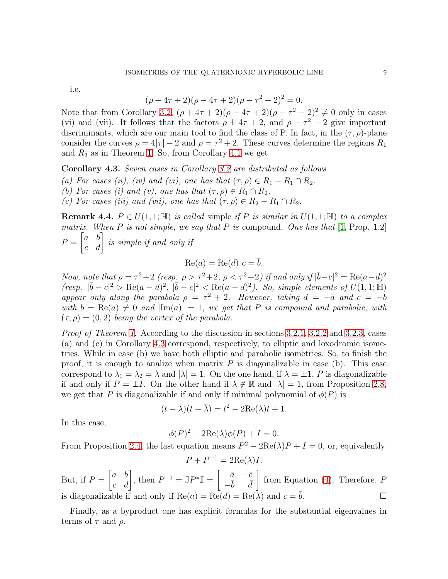i.e.

$$
(\rho + 4\tau + 2)(\rho - 4\tau + 2)(\rho - \tau^2 - 2)^2 = 0.
$$

Note that from Corollary [3.2,](#page-4-1)  $(\rho + 4\tau + 2)(\rho - 4\tau + 2)(\rho - \tau^2 - 2)^2 \neq 0$  only in cases (vi) and (vii). It follows that the factors  $\rho \pm 4\tau + 2$ , and  $\rho - \tau^2 - 2$  give important discriminants, which are our main tool to find the class of P. In fact, in the  $(\tau, \rho)$ -plane consider the curves  $\rho = 4|\tau| - 2$  and  $\rho = \tau^2 + 2$ . These curves determine the regions  $R_1$ and  $R_2$  as in Theorem [1.](#page-0-1) So, from Corollary [4.1](#page-7-4) we get

<span id="page-8-0"></span>Corollary 4.3. *Seven cases in Corollary [3.2](#page-4-1) are distributed as follows*

- *(a) For cases (ii), (iv) and (vi), one has that*  $(\tau, \rho) \in R_1 R_1 \cap R_2$ .
- *(b) For cases (i) and (v), one has that*  $(\tau, \rho) \in R_1 \cap R_2$ .
- *(c) For cases (iii) and (vii), one has that*  $(\tau, \rho) \in R_2 R_1 \cap R_2$ *.*

**Remark 4.4.**  $P \in U(1, 1; \mathbb{H})$  *is called* simple *if* P *is similar in*  $U(1, 1; \mathbb{H})$  *to a complex matrix. When* P *is not simple, we say that* P *is* compound*. One has that* [\[1,](#page-9-0) Prop. 1.2]  $P =$  $\begin{bmatrix} a & b \\ c & d \end{bmatrix}$  is simple if and only if

$$
Re(a) = Re(d) c = \overline{b}.
$$

*Now, note that*  $\rho = \tau^2 + 2$  *(resp.*  $\rho > \tau^2 + 2$ *,*  $\rho < \tau^2 + 2$ *) if and only if*  $|\bar{b} - c|^2 = \text{Re}(a - d)^2$  $(resp. \vert \bar{b}-c \vert^2 > \text{Re}(a-d)^2, \vert \bar{b}-c \vert^2 < \text{Re}(a-d)^2)$ . So, simple elements of  $U(1, 1; \mathbb{H})$ *appear only along the parabola*  $\rho = \tau^2 + 2$ *. However, taking*  $d = -\bar{a}$  *and*  $c = -b$ *with*  $b = \text{Re}(a) \neq 0$  *and*  $|\text{Im}(a)| = 1$ *, we get that* P *is compound and parabolic, with*  $(\tau, \rho) = (0, 2)$  *being the vertex of the parabola.* 

*Proof of Theorem [1.](#page-0-1)* According to the discussion in sections [3.2.1,](#page-5-2) [3.2.2](#page-6-1) and [3.2.3,](#page-6-2) cases (a) and (c) in Corollary [4.3](#page-8-0) correspond, respectively, to elliptic and loxodromic isometries. While in case (b) we have both elliptic and parabolic isometries. So, to finish the proof, it is enough to analize when matrix  $P$  is diagonalizable in case (b). This case correspond to  $\lambda_1 = \lambda_2 = \lambda$  and  $|\lambda| = 1$ . On the one hand, if  $\lambda = \pm 1$ , P is diagonalizable if and only if  $P = \pm I$ . On the other hand if  $\lambda \notin \mathbb{R}$  and  $|\lambda| = 1$ , from Proposition [2.8,](#page-4-4) we get that P is diagonalizable if and only if minimal polynomial of  $\phi(P)$  is

$$
(t - \lambda)(t - \bar{\lambda}) = t^2 - 2\text{Re}(\lambda)t + 1.
$$

In this case,

$$
\phi(P)^2 - 2\text{Re}(\lambda)\phi(P) + I = 0.
$$

From Proposition [2.4,](#page-3-2) the last equation means  $P^2 - 2\text{Re}(\lambda)P + I = 0$ , or, equivalently

$$
P + P^{-1} = 2\text{Re}(\lambda)I.
$$

But, if  $P = \begin{bmatrix} a & b \\ c & d \end{bmatrix}$ , then  $P^{-1} = \mathbb{J}P^* \mathbb{J} = \begin{bmatrix} \bar{a} & -\bar{c} \\ -\bar{b} & \bar{d} \end{bmatrix}$  $-\bar{b}$   $\bar{d}$  $\Gamma$  from Equation [\(4\)](#page-4-2). Therefore,  $P$ is diagonalizable if and only if  $\text{Re}(a) = \text{Re}(d) = \text{Re}(\lambda)$  and  $c = b$ .

Finally, as a byproduct one has explicit formulas for the substantial eigenvalues in terms of  $\tau$  and  $\rho$ .